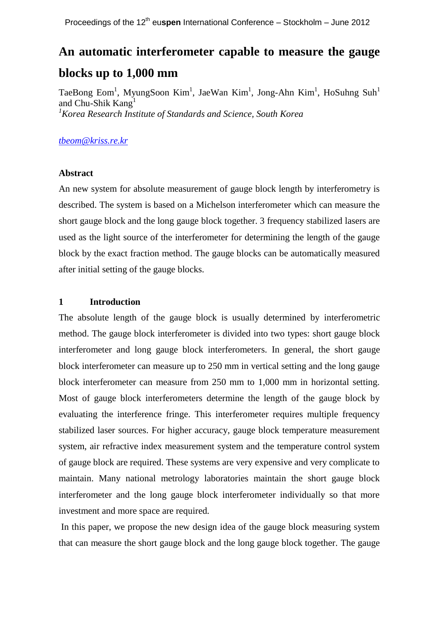# **An automatic interferometer capable to measure the gauge blocks up to 1,000 mm**

TaeBong Eom<sup>1</sup>, MyungSoon Kim<sup>1</sup>, JaeWan Kim<sup>1</sup>, Jong-Ahn Kim<sup>1</sup>, HoSuhng Suh<sup>1</sup> and Chu-Shik Kang *<sup>1</sup>Korea Research Institute of Standards and Science, South Korea*

# *[tbeom@kriss.re.kr](mailto:tbeom@kriss.re.kr)*

## **Abstract**

An new system for absolute measurement of gauge block length by interferometry is described. The system is based on a Michelson interferometer which can measure the short gauge block and the long gauge block together. 3 frequency stabilized lasers are used as the light source of the interferometer for determining the length of the gauge block by the exact fraction method. The gauge blocks can be automatically measured after initial setting of the gauge blocks.

## **1 Introduction**

The absolute length of the gauge block is usually determined by interferometric method. The gauge block interferometer is divided into two types: short gauge block interferometer and long gauge block interferometers. In general, the short gauge block interferometer can measure up to 250 mm in vertical setting and the long gauge block interferometer can measure from 250 mm to 1,000 mm in horizontal setting. Most of gauge block interferometers determine the length of the gauge block by evaluating the interference fringe. This interferometer requires multiple frequency stabilized laser sources. For higher accuracy, gauge block temperature measurement system, air refractive index measurement system and the temperature control system of gauge block are required. These systems are very expensive and very complicate to maintain. Many national metrology laboratories maintain the short gauge block interferometer and the long gauge block interferometer individually so that more investment and more space are required.

In this paper, we propose the new design idea of the gauge block measuring system that can measure the short gauge block and the long gauge block together. The gauge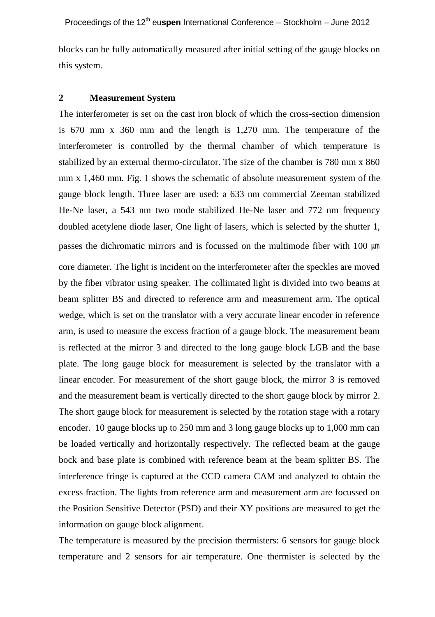blocks can be fully automatically measured after initial setting of the gauge blocks on this system.

#### **2 Measurement System**

The interferometer is set on the cast iron block of which the cross-section dimension is 670 mm x 360 mm and the length is 1,270 mm. The temperature of the interferometer is controlled by the thermal chamber of which temperature is stabilized by an external thermo-circulator. The size of the chamber is 780 mm x 860 mm x 1,460 mm. Fig. 1 shows the schematic of absolute measurement system of the gauge block length. Three laser are used: a 633 nm commercial Zeeman stabilized He-Ne laser, a 543 nm two mode stabilized He-Ne laser and 772 nm frequency doubled acetylene diode laser, One light of lasers, which is selected by the shutter 1, passes the dichromatic mirrors and is focussed on the multimode fiber with 100  $\mu$ m

core diameter. The light is incident on the interferometer after the speckles are moved by the fiber vibrator using speaker. The collimated light is divided into two beams at beam splitter BS and directed to reference arm and measurement arm. The optical wedge, which is set on the translator with a very accurate linear encoder in reference arm, is used to measure the excess fraction of a gauge block. The measurement beam is reflected at the mirror 3 and directed to the long gauge block LGB and the base plate. The long gauge block for measurement is selected by the translator with a linear encoder. For measurement of the short gauge block, the mirror 3 is removed and the measurement beam is vertically directed to the short gauge block by mirror 2. The short gauge block for measurement is selected by the rotation stage with a rotary encoder. 10 gauge blocks up to 250 mm and 3 long gauge blocks up to 1,000 mm can be loaded vertically and horizontally respectively. The reflected beam at the gauge bock and base plate is combined with reference beam at the beam splitter BS. The interference fringe is captured at the CCD camera CAM and analyzed to obtain the excess fraction. The lights from reference arm and measurement arm are focussed on the Position Sensitive Detector (PSD) and their XY positions are measured to get the information on gauge block alignment.

The temperature is measured by the precision thermisters: 6 sensors for gauge block temperature and 2 sensors for air temperature. One thermister is selected by the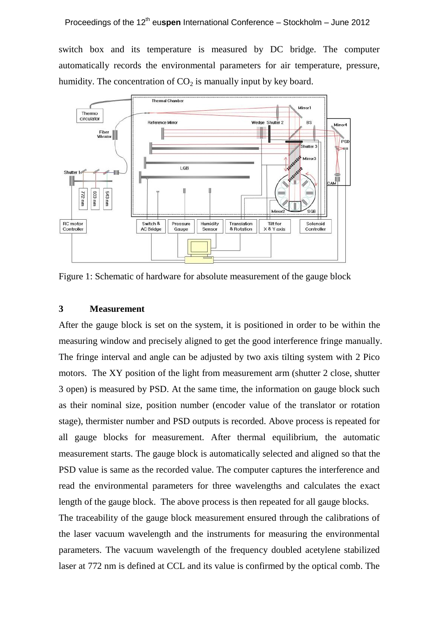switch box and its temperature is measured by DC bridge. The computer automatically records the environmental parameters for air temperature, pressure, humidity. The concentration of  $CO<sub>2</sub>$  is manually input by key board.



Figure 1: Schematic of hardware for absolute measurement of the gauge block

## **3 Measurement**

After the gauge block is set on the system, it is positioned in order to be within the measuring window and precisely aligned to get the good interference fringe manually. The fringe interval and angle can be adjusted by two axis tilting system with 2 Pico motors. The XY position of the light from measurement arm (shutter 2 close, shutter 3 open) is measured by PSD. At the same time, the information on gauge block such as their nominal size, position number (encoder value of the translator or rotation stage), thermister number and PSD outputs is recorded. Above process is repeated for all gauge blocks for measurement. After thermal equilibrium, the automatic measurement starts. The gauge block is automatically selected and aligned so that the PSD value is same as the recorded value. The computer captures the interference and read the environmental parameters for three wavelengths and calculates the exact length of the gauge block. The above process is then repeated for all gauge blocks. The traceability of the gauge block measurement ensured through the calibrations of the laser vacuum wavelength and the instruments for measuring the environmental

parameters. The vacuum wavelength of the frequency doubled acetylene stabilized laser at 772 nm is defined at CCL and its value is confirmed by the optical comb. The